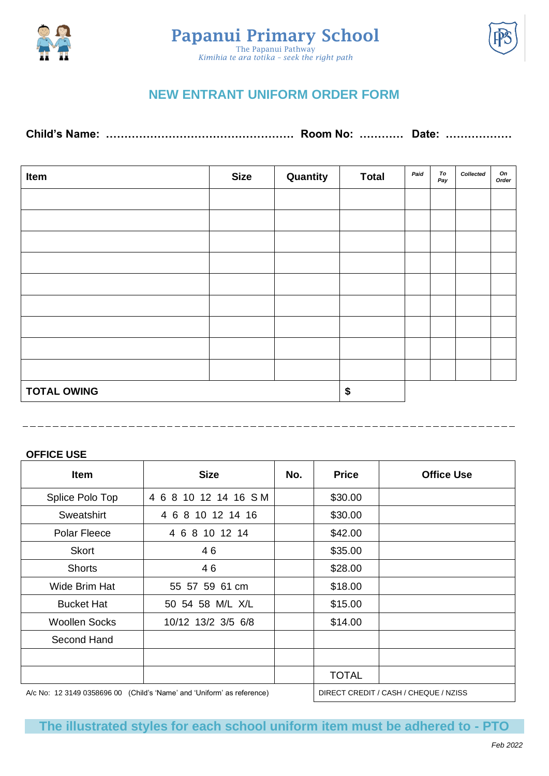





## **NEW ENTRANT UNIFORM ORDER FORM**

**Child's Name: …………………………………………… Room No: ………… Date: ………………**

| Item                     | <b>Size</b> | Quantity | <b>Total</b> | Paid | To<br>Pay | Collected | On<br>Order |
|--------------------------|-------------|----------|--------------|------|-----------|-----------|-------------|
|                          |             |          |              |      |           |           |             |
|                          |             |          |              |      |           |           |             |
|                          |             |          |              |      |           |           |             |
|                          |             |          |              |      |           |           |             |
|                          |             |          |              |      |           |           |             |
|                          |             |          |              |      |           |           |             |
|                          |             |          |              |      |           |           |             |
|                          |             |          |              |      |           |           |             |
|                          |             |          |              |      |           |           |             |
| <b>TOTAL OWING</b><br>\$ |             |          |              |      |           |           |             |

## **OFFICE USE**

| <b>Item</b>                                                            | <b>Size</b>          | No. | <b>Price</b>                          | <b>Office Use</b> |
|------------------------------------------------------------------------|----------------------|-----|---------------------------------------|-------------------|
| Splice Polo Top                                                        | 4 6 8 10 12 14 16 SM |     | \$30.00                               |                   |
| Sweatshirt                                                             | 4 6 8 10 12 14 16    |     | \$30.00                               |                   |
| Polar Fleece                                                           | 4 6 8 10 12 14       |     | \$42.00                               |                   |
| <b>Skort</b>                                                           | 46                   |     | \$35.00                               |                   |
| <b>Shorts</b>                                                          | 46                   |     | \$28.00                               |                   |
| Wide Brim Hat                                                          | 55 57 59 61 cm       |     | \$18.00                               |                   |
| <b>Bucket Hat</b>                                                      | 50 54 58 M/L X/L     |     | \$15.00                               |                   |
| <b>Woollen Socks</b>                                                   | 10/12 13/2 3/5 6/8   |     | \$14.00                               |                   |
| Second Hand                                                            |                      |     |                                       |                   |
|                                                                        |                      |     |                                       |                   |
|                                                                        |                      |     | <b>TOTAL</b>                          |                   |
| A/c No: 12 3149 0358696 00 (Child's 'Name' and 'Uniform' as reference) |                      |     | DIRECT CREDIT / CASH / CHEQUE / NZISS |                   |

**The illustrated styles for each school uniform item must be adhered to - PTO**